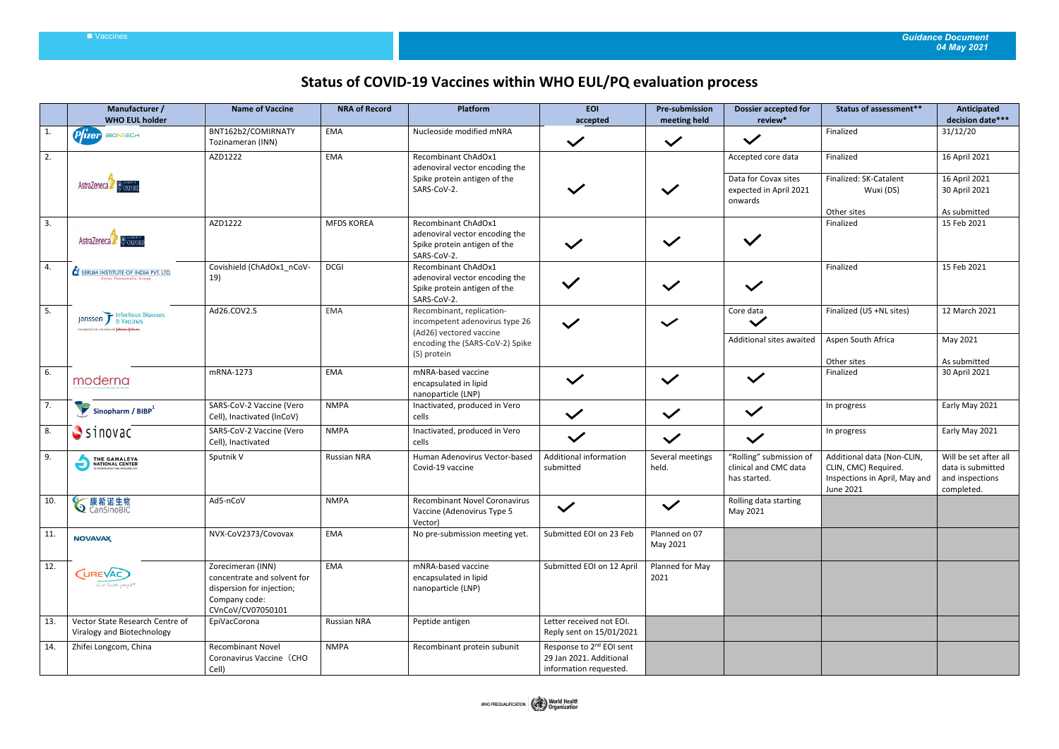## Vaccines *Guidance Document 04 May 2021*

## **Status of COVID-19 Vaccines within WHO EUL/PQ evaluation process**

|              | Manufacturer /<br><b>WHO EUL holder</b>                                     | <b>Name of Vaccine</b>                                                                                              | <b>NRA of Record</b> | Platform                                                                                             | <b>EOI</b><br>accepted                                                                    | <b>Pre-submission</b><br>meeting held | <b>Dossier accepted for</b><br>review*                                          | Status of assessment**                                                                           | Anticipated<br>decision date***                                             |
|--------------|-----------------------------------------------------------------------------|---------------------------------------------------------------------------------------------------------------------|----------------------|------------------------------------------------------------------------------------------------------|-------------------------------------------------------------------------------------------|---------------------------------------|---------------------------------------------------------------------------------|--------------------------------------------------------------------------------------------------|-----------------------------------------------------------------------------|
| $\mathbf{1}$ | $P$ $\hat{I}$ zer BIONTECH                                                  | BNT162b2/COMIRNATY<br>Tozinameran (INN)                                                                             | EMA                  | Nucleoside modified mNRA                                                                             | $\checkmark$                                                                              | $\checkmark$                          | $\checkmark$                                                                    | Finalized                                                                                        | 31/12/20                                                                    |
| 2.           | AstraZeneca                                                                 | AZD1222                                                                                                             | EMA                  | Recombinant ChAdOx1<br>adenoviral vector encoding the<br>Spike protein antigen of the<br>SARS-CoV-2. |                                                                                           | $\checkmark$                          | Accepted core data<br>Data for Covax sites<br>expected in April 2021<br>onwards | Finalized<br>Finalized: SK-Catalent<br>Wuxi (DS)<br>Other sites                                  | 16 April 2021<br>16 April 2021<br>30 April 2021<br>As submitted             |
| 3.           | AstraZeneca BoxForu                                                         | AZD1222                                                                                                             | <b>MFDS KOREA</b>    | Recombinant ChAdOx1<br>adenoviral vector encoding the<br>Spike protein antigen of the<br>SARS-CoV-2. |                                                                                           | $\checkmark$                          | $\checkmark$                                                                    | Finalized                                                                                        | 15 Feb 2021                                                                 |
| 4.           | <b>SERUM INSTITUTE OF INDIA PVT. LTD</b><br>Cyrus Poonawalla Group          | Covishield (ChAdOx1_nCoV-<br>19)                                                                                    | <b>DCGI</b>          | Recombinant ChAdOx1<br>adenoviral vector encoding the<br>Spike protein antigen of the<br>SARS-CoV-2. | $\checkmark$                                                                              | $\checkmark$                          | $\checkmark$                                                                    | Finalized                                                                                        | 15 Feb 2021                                                                 |
| 5.           | Janssen F Infectious Diseases<br>PHARMACEUTICAL CONPANES OF YEAHION-YEAHIEN | Ad26.COV2.S                                                                                                         | EMA                  | Recombinant, replication-<br>incompetent adenovirus type 26<br>(Ad26) vectored vaccine               |                                                                                           | $\checkmark$                          | Core data<br>$\checkmark$                                                       | Finalized (US +NL sites)                                                                         | 12 March 2021                                                               |
|              |                                                                             |                                                                                                                     |                      | encoding the (SARS-CoV-2) Spike<br>(S) protein                                                       |                                                                                           |                                       | Additional sites awaited                                                        | Aspen South Africa<br>Other sites                                                                | May 2021<br>As submitted                                                    |
| 6.           | moderna                                                                     | mRNA-1273                                                                                                           | EMA                  | mNRA-based vaccine<br>encapsulated in lipid<br>nanoparticle (LNP)                                    | $\checkmark$                                                                              | $\checkmark$                          | $\checkmark$                                                                    | Finalized                                                                                        | 30 April 2021                                                               |
| 7.           | $\sum$ Sinopharm / BIBP $^1$                                                | SARS-CoV-2 Vaccine (Vero<br>Cell), Inactivated (InCoV)                                                              | <b>NMPA</b>          | Inactivated, produced in Vero<br>cells                                                               | $\checkmark$                                                                              | $\checkmark$                          | $\checkmark$                                                                    | In progress                                                                                      | Early May 2021                                                              |
| 8.           | $S$ inovac                                                                  | SARS-CoV-2 Vaccine (Vero<br>Cell), Inactivated                                                                      | <b>NMPA</b>          | Inactivated, produced in Vero<br>cells                                                               | $\checkmark$                                                                              | $\checkmark$                          | $\checkmark$                                                                    | In progress                                                                                      | Early May 2021                                                              |
| 9.           | THE GAMALEYA                                                                | Sputnik V                                                                                                           | <b>Russian NRA</b>   | Human Adenovirus Vector-based<br>Covid-19 vaccine                                                    | Additional information<br>submitted                                                       | Several meetings<br>held.             | "Rolling" submission of<br>clinical and CMC data<br>has started.                | Additional data (Non-CLIN,<br>CLIN, CMC) Required.<br>Inspections in April, May and<br>June 2021 | Will be set after all<br>data is submitted<br>and inspections<br>completed. |
| 10.          | <b>√康希诺生物</b>                                                               | Ad5-nCoV                                                                                                            | <b>NMPA</b>          | Recombinant Novel Coronavirus<br>Vaccine (Adenovirus Type 5<br>Vector)                               | $\checkmark$                                                                              | $\checkmark$                          | Rolling data starting<br>May 2021                                               |                                                                                                  |                                                                             |
| 11.          | <b>NOVAVAX</b>                                                              | NVX-CoV2373/Covovax                                                                                                 | EMA                  | No pre-submission meeting yet.                                                                       | Submitted EOI on 23 Feb                                                                   | Planned on 07<br>May 2021             |                                                                                 |                                                                                                  |                                                                             |
| 12.          | <b>CUREVAC</b><br>the RNA people®                                           | Zorecimeran (INN)<br>concentrate and solvent for<br>dispersion for injection;<br>Company code:<br>CVnCoV/CV07050101 | EMA                  | mNRA-based vaccine<br>encapsulated in lipid<br>nanoparticle (LNP)                                    | Submitted EOI on 12 April                                                                 | Planned for May<br>2021               |                                                                                 |                                                                                                  |                                                                             |
| 13.          | Vector State Research Centre of<br>Viralogy and Biotechnology               | EpiVacCorona                                                                                                        | Russian NRA          | Peptide antigen                                                                                      | Letter received not EOI.<br>Reply sent on 15/01/2021                                      |                                       |                                                                                 |                                                                                                  |                                                                             |
| 14.          | Zhifei Longcom, China                                                       | <b>Recombinant Novel</b><br>Coronavirus Vaccine (CHO<br>Cell)                                                       | <b>NMPA</b>          | Recombinant protein subunit                                                                          | Response to 2 <sup>nd</sup> EOI sent<br>29 Jan 2021. Additional<br>information requested. |                                       |                                                                                 |                                                                                                  |                                                                             |